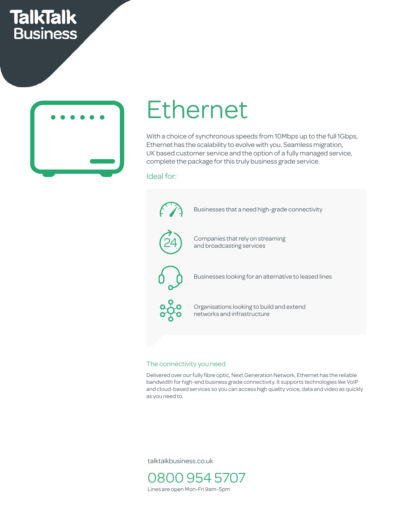# **TalkTalk Business**



## Ethernet  $h$

With a choice of synchronous speeds from 10Mbps up to the full 1Gbps, Ethernet has the scalability to evolve with you. Seamless migration, UK based customer service and the option of a fully managed service, complete the package for this truly business grade service.

### Ideal for:

 $\begin{matrix} \uparrow \end{matrix}$  Businesses that a need high-grade connectivity  $\mathcal{A}_{\mathcal{N}}$  $\sim$ Companies that rely on streaming and broadcasting services Security No downtime Responding No maintenance 24 Businesses looking for an alternative to leased lines Organisations looking to build and extend networks and infrastructure Uptime UFO Settings Bluetooth Bluetooth Bluetooth Bluetooth Bluetooth Bluetooth Bluetooth Bluetooth Bluetooth Cost savings Call Centres Easy to set up Growing business Up to 4 users nes<br>
<sup>1</sup> remative to leased in les<br>experiences

### The connectivity you need

Delivered over our fully fibre optic, Next Generation Network, Ethernet has the reliable bandwidth for high-end business grade connectivity. It supports technologies like VoIP and cloud-based services so you can access high quality voice, data and video as quickly as you need to.

talktalkbusiness.co.uk